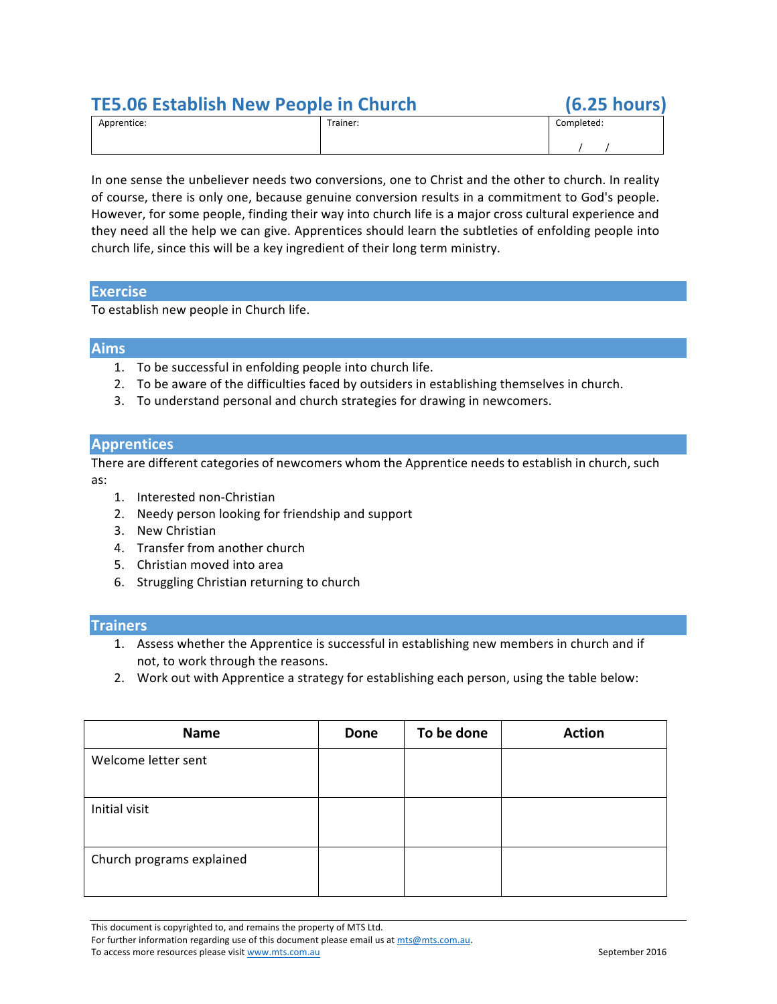# **TE5.06 Establish New People in Church (6.25 hours)**

| Apprentice: | Trainer: | Completed: |
|-------------|----------|------------|
|             |          |            |

In one sense the unbeliever needs two conversions, one to Christ and the other to church. In reality of course, there is only one, because genuine conversion results in a commitment to God's people. However, for some people, finding their way into church life is a major cross cultural experience and they need all the help we can give. Apprentices should learn the subtleties of enfolding people into church life, since this will be a key ingredient of their long term ministry.

## **Exercise**

To establish new people in Church life.

## **Aims**

- 1. To be successful in enfolding people into church life.
- 2. To be aware of the difficulties faced by outsiders in establishing themselves in church.
- 3. To understand personal and church strategies for drawing in newcomers.

## **Apprentices**

There are different categories of newcomers whom the Apprentice needs to establish in church, such as:

- 1. Interested non-Christian
- 2. Needy person looking for friendship and support
- 3. New Christian
- 4. Transfer from another church
- 5. Christian moved into area
- 6. Struggling Christian returning to church

### **Trainers**

- 1. Assess whether the Apprentice is successful in establishing new members in church and if not, to work through the reasons.
- 2. Work out with Apprentice a strategy for establishing each person, using the table below:

| <b>Name</b>               | <b>Done</b> | To be done | <b>Action</b> |
|---------------------------|-------------|------------|---------------|
| Welcome letter sent       |             |            |               |
| Initial visit             |             |            |               |
| Church programs explained |             |            |               |

This document is copyrighted to, and remains the property of MTS Ltd.

For further information regarding use of this document please email us at mts@mts.com.au. To access more resources please visit www.mts.com.au September 2016